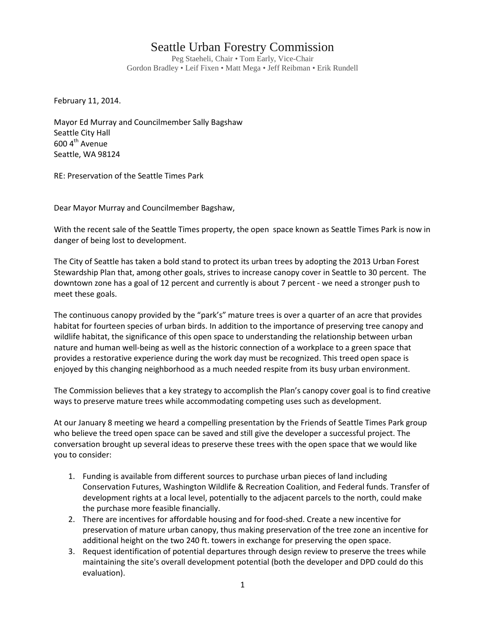## Seattle Urban Forestry Commission

Peg Staeheli, Chair • Tom Early, Vice-Chair Gordon Bradley • Leif Fixen • Matt Mega • Jeff Reibman • Erik Rundell

February 11, 2014.

Mayor Ed Murray and Councilmember Sally Bagshaw Seattle City Hall 600 4<sup>th</sup> Avenue Seattle, WA 98124

RE: Preservation of the Seattle Times Park

Dear Mayor Murray and Councilmember Bagshaw,

With the recent sale of the Seattle Times property, the open space known as Seattle Times Park is now in danger of being lost to development.

The City of Seattle has taken a bold stand to protect its urban trees by adopting the 2013 Urban Forest Stewardship Plan that, among other goals, strives to increase canopy cover in Seattle to 30 percent. The downtown zone has a goal of 12 percent and currently is about 7 percent - we need a stronger push to meet these goals.

The continuous canopy provided by the "park's" mature trees is over a quarter of an acre that provides habitat for fourteen species of urban birds. In addition to the importance of preserving tree canopy and wildlife habitat, the significance of this open space to understanding the relationship between urban nature and human well-being as well as the historic connection of a workplace to a green space that provides a restorative experience during the work day must be recognized. This treed open space is enjoyed by this changing neighborhood as a much needed respite from its busy urban environment.

The Commission believes that a key strategy to accomplish the Plan's canopy cover goal is to find creative ways to preserve mature trees while accommodating competing uses such as development.

At our January 8 meeting we heard a compelling presentation by the Friends of Seattle Times Park group who believe the treed open space can be saved and still give the developer a successful project. The conversation brought up several ideas to preserve these trees with the open space that we would like you to consider:

- 1. Funding is available from different sources to purchase urban pieces of land including Conservation Futures, Washington Wildlife & Recreation Coalition, and Federal funds. Transfer of development rights at a local level, potentially to the adjacent parcels to the north, could make the purchase more feasible financially.
- 2. There are incentives for affordable housing and for food-shed. Create a new incentive for preservation of mature urban canopy, thus making preservation of the tree zone an incentive for additional height on the two 240 ft. towers in exchange for preserving the open space.
- 3. Request identification of potential departures through design review to preserve the trees while maintaining the site's overall development potential (both the developer and DPD could do this evaluation).